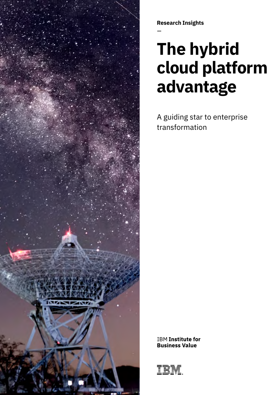

**Research Insights**

# **The hybrid cloud platform advantage**

A guiding star to enterprise transformation

**IBM Institute for Business Value** 

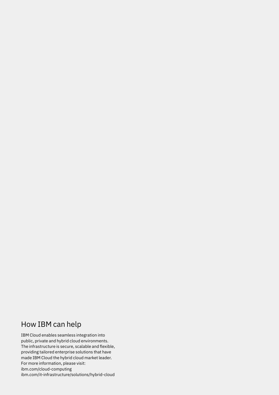# How IBM can help

IBM Cloud enables seamless integration into public, private and hybrid cloud environments. The infrastructure is secure, scalable and flexible, providing tailored enterprise solutions that have made IBM Cloud the hybrid cloud market leader. For more information, please visit: [ibm.com/cloud-computing](http://www.ibm.com/cloud-computing) [ibm.com/it-infrastructure/solutions/hybrid-cloud](https://www.ibm.com/it-infrastructure/solutions/hybrid-cloud)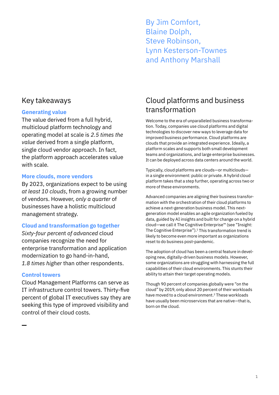Blaine Dolph, Steve Robinson, Lynn Kesterson-Townes and Anthony Marshall

By Jim Comfort,

#### **Generating value**

The value derived from a full hybrid, multicloud platform technology and operating model at scale is *2.5 times the value* derived from a single platform, single cloud vendor approach. In fact, the platform approach accelerates value with scale.

#### **More clouds, more vendors**

By 2023, organizations expect to be using *at least 10 clouds*, from a growing number of vendors. However, *only a quarter* of businesses have a holistic multicloud management strategy.

#### **Cloud and transformation go together**

*Sixty-four percen*t *of advanced* cloud companies recognize the need for enterprise transformation and application modernization to go hand-in-hand, *1.8 times higher* than other respondents.

#### **Control towers**

Cloud Management Platforms can serve as IT infrastructure control towers. Thirty-five percent of global IT executives say they are seeking this type of improved visibility and control of their cloud costs.

# Key takeaways Cloud platforms and business transformation

Welcome to the era of unparalleled business transformation. Today, companies use cloud platforms and digital technologies to discover new ways to leverage data for improved business performance. Cloud platforms are clouds that provide an integrated experience. Ideally, a platform scales and supports both small development teams and organizations, and large enterprise businesses. It can be deployed across data centers around the world.

Typically, cloud platforms are clouds—or multiclouds in a single environment: public or private. A hybrid cloud platform takes that a step further, operating across two or more of these environments.

Advanced companies are aligning their business transformation with the orchestration of their cloud platforms to achieve a next-generation business model. This nextgeneration model enables an agile organization fueled by data, guided by AI insights and built for change on a hybrid cloud—we call it The Cognitive Enterprise™ (see "Insight: The Cognitive Enterprise").<sup>1</sup> This transformation trend is likely to become even more important as organizations reset to do business post-pandemic.

The adoption of cloud has been a central feature in developing new, digitally-driven business models. However, some organizations are struggling with harnessing the full capabilities of their cloud environments. This stunts their ability to attain their target operating models.

Though 90 percent of companies globally were "on the cloud" by 2019, only about 20 percent of their workloads have moved to a cloud environment.<sup>2</sup> These workloads have usually been microservices that are native—that is, born on the cloud.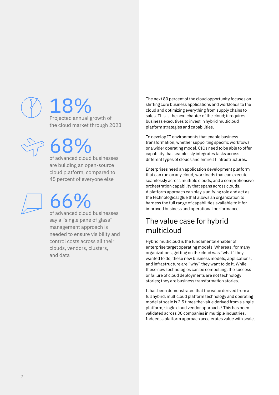

# Projected annual growth of 18%

the cloud market through 2023

# 68%

of advanced cloud businesses are building an open-source cloud platform, compared to 45 percent of everyone else



66%

of advanced cloud businesses say a "single pane of glass" management approach is needed to ensure visibility and control costs across all their clouds, vendors, clusters, and data

The next 80 percent of the cloud opportunity focuses on shifting core business applications and workloads to the cloud and optimizing everything from supply chains to sales. This is the next chapter of the cloud; it requires business executives to invest in hybrid multicloud platform strategies and capabilities.

To develop IT environments that enable business transformation, whether supporting specific workflows or a wider operating model, CIOs need to be able to offer capability that seamlessly integrates tasks across different types of clouds and entire IT infrastructures.

Enterprises need an application development platform that can run on any cloud, workloads that can execute seamlessly across multiple clouds, and a comprehensive orchestration capability that spans across clouds. A platform approach can play a unifying role and act as the technological glue that allows an organization to harness the full range of capabilities available to it for improved business and operational performance.

# The value case for hybrid multicloud

Hybrid multicloud is the fundamental enabler of enterprise target operating models. Whereas, for many organizations, getting on the cloud was "what" they wanted to do, these new business models, applications, and infrastructure are "why" they want to do it. While these new technologies can be compelling, the success or failure of cloud deployments are not technology stories; they are business transformation stories.

It has been demonstrated that the value derived from a full hybrid, multicloud platform technology and operating model at scale is 2.5 times the value derived from a single platform, single cloud vendor approach.3 This has been validated across 30 companies in multiple industries. Indeed, a platform approach accelerates value with scale.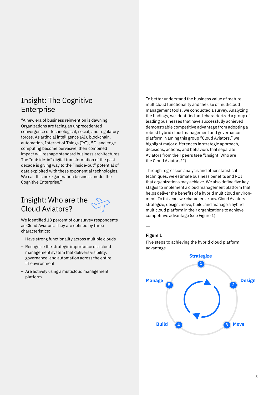### Insight: The Cognitive Enterprise

"A new era of business reinvention is dawning. Organizations are facing an unprecedented convergence of technological, social, and regulatory forces. As artificial intelligence (AI), blockchain, automation, Internet of Things (IoT), 5G, and edge computing become pervasive, their combined impact will reshape standard business architectures. The "outside-in" digital transformation of the past decade is giving way to the "inside-out" potential of data exploited with these exponential technologies. We call this next-generation business model the Cognitive Enterprise."4

## Insight: Who are the Cloud Aviators?



We identified 13 percent of our survey respondents as Cloud Aviators. They are defined by three characteristics:

- Have strong functionality across multiple clouds
- Recognize the strategic importance of a cloud management system that delivers visibility, governance, and automation across the entire IT environment
- Are actively using a multicloud management platform

To better understand the business value of mature multicloud functionality and the use of multicloud management tools, we conducted a survey. Analyzing the findings, we identified and characterized a group of leading businesses that have successfully achieved demonstrable competitive advantage from adopting a robust hybrid cloud management and governance platform. Naming this group "Cloud Aviators," we highlight major differences in strategic approach, decisions, actions, and behaviors that separate Aviators from their peers (see "Insight: Who are the Cloud Aviators?").

Through regression analysis and other statistical techniques, we estimate business benefits and ROI that organizations may achieve. We also define five key stages to implement a cloud management platform that helps deliver the benefits of a hybrid multicloud environment. To this end, we characterize how Cloud Aviators strategize, design, move, build, and manage a hybrid multicloud platform in their organizations to achieve competitive advantage (see Figure 1).

#### **Figure 1**

Five steps to achieving the hybrid cloud platform advantage

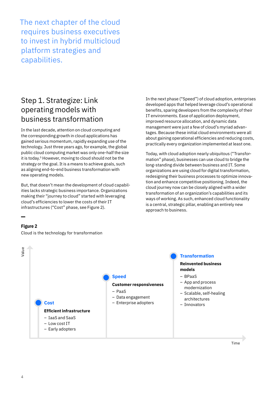The next chapter of the cloud requires business executives to invest in hybrid multicloud platform strategies and capabilities.

### Step 1. Strategize: Link operating models with business transformation

In the last decade, attention on cloud computing and the corresponding growth in cloud applications has gained serious momentum, rapidly expanding use of the technology. Just three years ago, for example, the global public cloud computing market was only one-half the size it is today.<sup>5</sup> However, moving to cloud should not be the strategy or the goal. It is a means to achieve goals, such as aligning end-to-end business transformation with new operating models.

But, that doesn't mean the development of cloud capabilities lacks strategic business importance. Organizations making their "journey to cloud" started with leveraging cloud's efficiencies to lower the costs of their IT infrastructures ("Cost" phase, see Figure 2).

#### **Figure 2**

Cloud is the technology for transformation

In the next phase ("Speed") of cloud adoption, enterprises developed apps that helped leverage cloud's operational benefits, sparing developers from the complexity of their IT environments. Ease of application deployment, improved resource allocation, and dynamic data management were just a few of cloud's myriad advantages. Because these initial cloud environments were all about gaining operational efficiencies and reducing costs, practically every organization implemented at least one.

Today, with cloud adoption nearly ubiquitous ("Transformation" phase), businesses can use cloud to bridge the long-standing divide between business and IT. Some organizations are using cloud for digital transformation, redesigning their business processes to optimize innovation and enhance competitive positioning. Indeed, the cloud journey now can be closely aligned with a wider transformation of an organization's capabilities and its ways of working. As such, enhanced cloud functionality is a central, strategic pillar, enabling an entirely new approach to business.



Time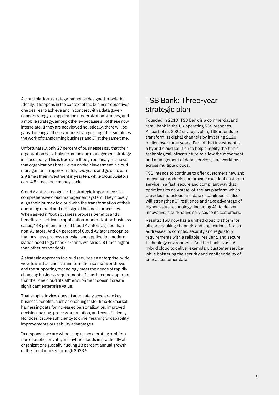A cloud platform strategy cannot be designed in isolation. Ideally, it happens in the context of the business objectives one desires to achieve and in concert with a data governance strategy, an application modernization strategy, and a mobile strategy, among others—because all of these now interrelate. If they are not viewed holistically, there will be gaps. Looking at these various strategies together simplifies the work of transforming business and IT at the same time.

Unfortunately, only 27 percent of businesses say that their organization has a holistic multicloud management strategy in place today. This is true even though our analysis shows that organizations break-even on their investment in cloud management in approximately two years and go on to earn 2.9 times their investment in year ten, while Cloud Aviators earn 4.5 times their money back.

Cloud Aviators recognize the strategic importance of a comprehensive cloud management system. They closely align their journey to cloud with the transformation of their operating model and redesign of business processes. When asked if "both business process benefits and IT benefits are critical to application-modernization business cases," 48 percent more of Cloud Aviators agreed than non-Aviators. And 64 percent of Cloud Aviators recognize that business process redesign and application modernization need to go hand-in-hand, which is 1.8 times higher than other respondents.

A strategic approach to cloud requires an enterprise-wide view toward business transformation so that workflows and the supporting technology meet the needs of rapidly changing business requirements. It has become apparent that the "one cloud fits all" environment doesn't create significant enterprise value.

That simplistic view doesn't adequately accelerate key business benefits, such as enabling faster time-to-market, harnessing data for increased personalization, improved decision making, process automation, and cost efficiency. Nor does it scale sufficiently to drive meaningful capability improvements or usability advantages.

In response, we are witnessing an accelerating proliferation of public, private, and hybrid clouds in practically all organizations globally, fueling 18 percent annual growth of the cloud market through 2023.6

#### TSB Bank: Three-year strategic plan

Founded in 2013, TSB Bank is a commercial and retail bank in the UK operating 536 branches. As part of its 2022 strategic plan, TSB intends to transform its digital channels by investing £120 million over three years. Part of that investment is a hybrid cloud solution to help simplify the firm's technological infrastructure to allow the movement and management of data, services, and workflows across multiple clouds.

TSB intends to continue to offer customers new and innovative products and provide excellent customer service in a fast, secure and compliant way that optimizes its new state-of-the-art platform which provides multicloud and data capabilities. It also will strengthen IT resilience and take advantage of higher-value technology, including AI, to deliver innovative, cloud-native services to its customers.

Results: TSB now has a unified cloud platform for all core banking channels and applications. It also addresses its complex security and regulatory requirements with a reliable, resilient, and secure technology environment. And the bank is using hybrid cloud to deliver exemplary customer service while bolstering the security and confidentiality of critical customer data.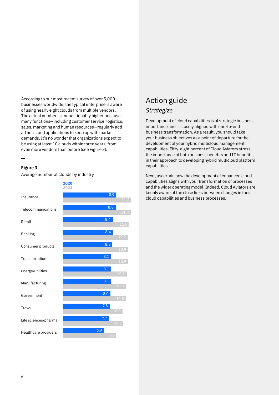According to our most recent survey of over 5,000 businesses worldwide, the typical enterprise is aware of using nearly eight clouds from multiple vendors. The actual number is unquestionably higher because many functions—including customer service, logistics, sales, marketing and human resources—regularly add ad hoc cloud applications to keep up with market demands. It's no wonder that organizations expect to be using at least 10 clouds within three years, from even more vendors than before (see Figure 3).

#### **Figure 3**

Average number of clouds by industry



# Action guide *Strategize*

Development of cloud capabilities is of strategic business importance and is closely aligned with end-to-end business transformation. As a result, you should take your business objectives as a point of departure for the development of your hybrid multicloud management capabilities. Fifty-eight percent of Cloud Aviators stress the importance of both business benefits and IT benefits in their approach to developing hybrid multicloud platform capabilities.

Next, ascertain how the development of enhanced cloud capabilities aligns with your transformation of processes and the wider operating model. Indeed, Cloud Aviators are keenly aware of the close links between changes in their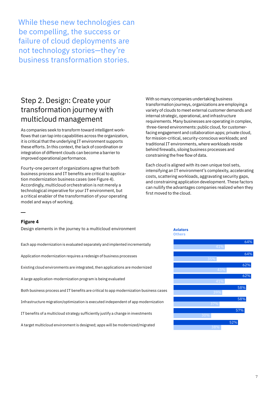While these new technologies can be compelling, the success or failure of cloud deployments are not technology stories—they're business transformation stories.

# Step 2. Design: Create your transformation journey with multicloud management

As companies seek to transform toward intelligent workflows that can tap into capabilities across the organization, it is critical that the underlying IT environment supports these efforts. In this context, the lack of coordination or integration of different clouds can become a barrier to improved operational performance.

Fourty-one percent of organizations agree that both business process and IT benefits are critical to application modernization business cases (see Figure 4). Accordingly, multicloud orchestration is not merely a technological imperative for your IT environment, but a critical enabler of the transformation of your operating model and ways of working.

With so many companies undertaking business transformation journeys, organizations are employing a variety of clouds to meet external customer demands and internal strategic, operational, and infrastructure requirements. Many businesses are operating in complex, three-tiered environments: public cloud, for customerfacing engagement and collaboration apps; private cloud, for mission-critical, security-conscious workloads; and traditional IT environments, where workloads reside behind firewalls, siloing business processes and constraining the free flow of data.

Each cloud is aligned with its own unique tool sets, intensifying an IT environment's complexity, accelerating costs, scattering workloads, aggravating security gaps, and constraining application development. These factors can nullify the advantages companies realized when they first moved to the cloud.

#### **Figure 4** Design elements in the journey to a multicloud environment

| Each app modernization is evaluated separately and implented incrementally             |
|----------------------------------------------------------------------------------------|
| Application modernization requires a redesign of business processes                    |
| Existing cloud environments are integrated, then applications are modernized           |
| A large application-modernization program is being evaluated                           |
| Both business process and IT benefits are critical to app modernization business cases |
| Infrastructure migration/optimization is executed independent of app modernization     |
| IT benefits of a multicloud strategy sufficiently justify a change in investments      |
| A target multicloud environment is designed; apps will be modernized/migrated          |



#### 7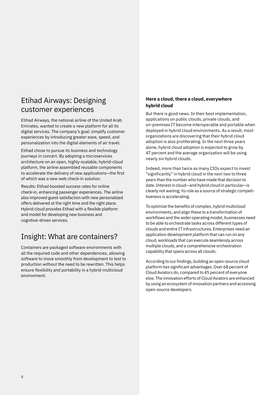### Etihad Airways: Designing customer experiences

Etihad Airways, the national airline of the United Arab Emirates, wanted to create a new platform for all its digital services. The company's goal: simplify customer experiences by introducing greater ease, speed, and personalization into the digital elements of air travel.

Etihad chose to pursue its business and technology journeys in concert. By adopting a microservices architecture on an open, highly-scalable, hybrid-cloud platform, the airline assembled reusable components to accelerate the delivery of new applications—the first of which was a new web check-in solution.

Results: Etihad boosted success rates for online check-in, enhancing passenger experiences. The airline also improved guest satisfaction with new personalized offers delivered at the right time and the right place. Hybrid cloud provides Etihad with a flexible platform and model for developing new business and cognitive-driven services.

# Insight: What are containers?

Containers are packaged software environments with all the required code and other dependencies, allowing software to move smoothly from development to test to production without the need to be rewritten. This helps ensure flexibility and portability in a hybrid multicloud environment.

#### **Here a cloud, there a cloud, everywhere hybrid cloud**

But there is good news. In their best implementation, applications on public clouds, private clouds, and on-premises IT become interoperable and portable when deployed in hybrid cloud environments. As a result, most organizations are discovering that their hybrid cloud adoption is also proliferating. In the next three years alone, hybrid cloud adoption is expected to grow by 47 percent and the average organization will be using nearly six hybrid clouds.

Indeed, more than twice as many CIOs expect to invest "significantly" in hybrid cloud in the next two to three years than the number who have made that decision to date. Interest in cloud—and hybrid cloud in particular—is clearly not waning; its role as a source of strategic competitiveness is accelerating.

To optimize the benefits of complex, hybrid multicloud environments, and align these to a transformation of workflows and the wider operating model, businesses need to be able to orchestrate tasks across different types of clouds and entire IT infrastructures. Enterprises need an application development platform that can run on any cloud, workloads that can execute seamlessly across multiple clouds, and a comprehensive orchestration capability that spans across all clouds.

According to our findings, building an open-source cloud platform has significant advantages. Over 68 percent of Cloud Aviators do, compared to 45 percent of everyone else. The innovation efforts of Cloud Aviators are enhanced by using an ecosystem of innovation partners and accessing open-source developers.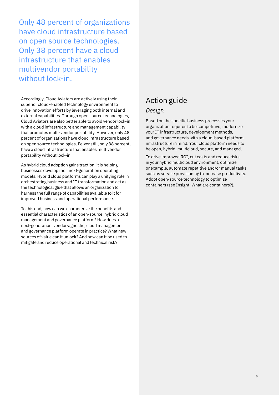Only 48 percent of organizations have cloud infrastructure based on open source technologies. Only 38 percent have a cloud infrastructure that enables multivendor portability without lock-in.

Accordingly, Cloud Aviators are actively using their superior cloud-enabled technology environment to drive innovation efforts by leveraging both internal and external capabilities. Through open source technologies, Cloud Aviators are also better able to avoid vendor lock-in with a cloud infrastructure and management capability that promotes multi-vendor portability. However, only 48 percent of organizations have cloud infrastructure based on open source technologies. Fewer still, only 38 percent, have a cloud infrastructure that enables multivendor portability without lock-in.

As hybrid cloud adoption gains traction, it is helping businesses develop their next-generation operating models. Hybrid cloud platforms can play a unifying role in orchestrating business and IT transformation and act as the technological glue that allows an organization to harness the full range of capabilities available to it for improved business and operational performance.

To this end, how can we characterize the benefits and essential characteristics of an open-source, hybrid cloud management and governance platform? How does a next-generation, vendor-agnostic, cloud management and governance platform operate in practice? What new sources of value can it unlock? And how can it be used to mitigate and reduce operational and technical risk?

### Action guide *Design*

Based on the specific business processes your organization requires to be competitive, modernize your IT infrastructure, development methods, and governance needs with a cloud-based platform infrastructure in mind. Your cloud platform needs to be open, hybrid, multicloud, secure, and managed.

To drive improved ROI, cut costs and reduce risks in your hybrid multicloud environment, optimize or example, automate repetitive and/or manual tasks such as service provisioning to increase productivity. Adopt open-source technology to optimize containers (see Insight: What are containers?).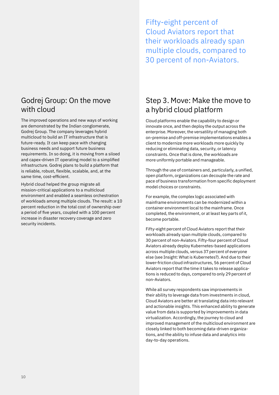Fifty-eight percent of Cloud Aviators report that their workloads already span multiple clouds, compared to 30 percent of non-Aviators.

### Godrej Group: On the move with cloud

The improved operations and new ways of working are demonstrated by the Indian conglomerate, Godrej Group. The company leverages hybrid multicloud to build an IT infrastructure that is future-ready. It can keep pace with changing business needs and support future business requirements. In so doing, it is moving from a siloed and capex-driven IT operating model to a simplified infrastructure. Godrej plans to build a platform that is reliable, robust, flexible, scalable, and, at the same time, cost-efficient.

Hybrid cloud helped the group migrate all mission-critical applications to a multicloud environment and enabled a seamless orchestration of workloads among multiple clouds. The result: a 10 percent reduction in the total cost of ownership over a period of five years, coupled with a 100 percent increase in disaster recovery coverage and zero security incidents.

# Step 3. Move: Make the move to a hybrid cloud platform

Cloud platforms enable the capability to design or innovate once, and then deploy the output across the enterprise. Moreover, the versatility of managing both on-premise and off-premise implementations enables a client to modernize more workloads more quickly by reducing or eliminating data, security, or latency constraints. Once that is done, the workloads are more uniformly portable and manageable.

Through the use of containers and, particularly, a unified, open platform, organizations can decouple the rate and pace of business transformation from specific deployment model choices or constraints.

For example, the complex logic associated with mainframe environments can be modernized within a container environment local to the mainframe. Once completed, the environment, or at least key parts of it, become portable.

Fifty-eight percent of Cloud Aviators report that their workloads already span multiple clouds, compared to 30 percent of non-Aviators. Fifty-four percent of Cloud Aviators already deploy Kubernetes-based applications across multiple clouds, versus 37 percent of everyone else (see Insight: What is Kubernetes?). And due to their lower-friction cloud infrastructures, 56 percent of Cloud Aviators report that the time it takes to release applications is reduced to days, compared to only 29 percent of non-Aviators.

While all survey respondents saw improvements in their ability to leverage data from investments in cloud, Cloud Aviators are better at translating data into relevant and actionable insights. This enhanced ability to generate value from data is supported by improvements in data virtualization. Accordingly, the journey to cloud and improved management of the multicloud environment are closely linked to both becoming data-driven organizations, and the ability to infuse data and analytics into day-to-day operations.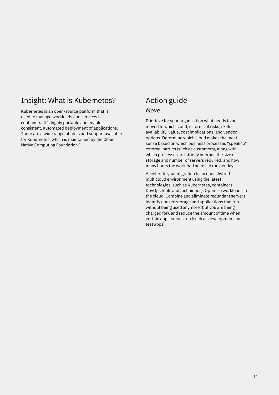### Insight: What is Kubernetes?

Kubernetes is an open-source platform that is used to manage workloads and services in containers. It's highly portable and enables consistent, automated deployment of applications. There are a wide range of tools and support available for Kubernetes, which is maintained by the Cloud Native Computing Foundation.7

#### Action guide

#### *Move*

Prioritize for your organization what needs to be moved to which cloud, in terms of risks, skills availability, value, cost implications, and vendor options. Determine which cloud makes the most sense based on which business processes "speak to" external parties (such as customers), along with which processes are strictly internal, the size of storage and number of servers required, and how many hours the workload needs to run per day.

Accelerate your migration to an open, hybrid multicloud environment using the latest technologies, such as Kubernetes, containers, DevOps tools and techniques). Optimize workloads in the cloud. Combine and eliminate redundant servers, identify unused storage and applications that run without being used anymore (but you are being charged for), and reduce the amount of time when certain applications run (such as development and test apps).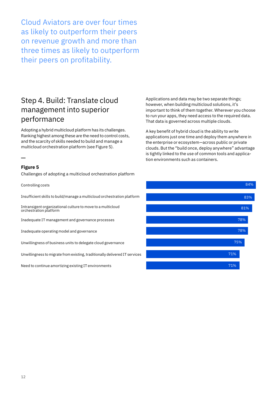Cloud Aviators are over four times as likely to outperform their peers on revenue growth and more than three times as likely to outperform their peers on profitability.

# Step 4. Build: Translate cloud management into superior performance

Adopting a hybrid multicloud platform has its challenges. Ranking highest among these are the need to control costs, and the scarcity of skills needed to build and manage a multicloud orchestration platform (see Figure 5).

#### **Figure 5**

Challenges of adopting a multicloud orchestration platform

Controlling costs

Insufficient skills to build/manage a multicloud orchestration platform

Intransigent organizational culture to move to a multicloud orchestration platform

Inadequate IT management and governance processes

Inadequate operating model and governance

Unwillingness of business units to delegate cloud governance

Unwillingness to migrate from existing, traditionally delivered IT services

Need to continue amortizing existing IT environments

Applications and data may be two separate things; however, when building multicloud solutions, it's important to think of them together. Wherever you choose to run your apps, they need access to the required data. That data is governed across multiple clouds.

A key benefit of hybrid cloud is the ability to write applications just one time and deploy them anywhere in the enterprise or ecosystem—across public or private clouds. But the "build once, deploy anywhere" advantage is tightly linked to the use of common tools and application environments such as containers.

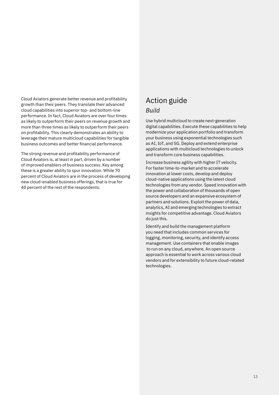Cloud Aviators generate better revenue and profitability growth than their peers. They translate their advanced cloud capabilities into superior top- and bottom-line performance. In fact, Cloud Aviators are over four times as likely to outperform their peers on revenue growth and more than three times as likely to outperform their peers on profitability. This clearly demonstrates an ability to leverage their mature multicloud capabilities for tangible business outcomes and better financial performance.

The strong revenue and profitability performance of Cloud Aviators is, at least in part, driven by a number of improved enablers of business success. Key among these is a greater ability to spur innovation. While 70 percent of Cloud Aviators are in the process of developing new cloud-enabled business offerings, that is true for 40 percent of the rest of the respondents.

# Action guide *Build*

Use hybrid multicloud to create next-generation digital capabilities. Execute these capabilities to help modernize your application portfolio and transform your business using exponential technologies such as AI, IoT, and 5G. Deploy and extend enterprise applications with multicloud technologies to unlock and transform core business capabilities.

Increase business agility with higher IT velocity. For faster time-to-market and to accelerate innovation at lower costs, develop and deploy cloud-native applications using the latest cloud technologies from any vendor. Speed innovation with the power and collaboration of thousands of open source developers and an expansive ecosystem of partners and solutions. Exploit the power of data, analytics, AI and emerging technologies to extract insights for competitive advantage. Cloud Aviators do just this.

Identify and build the management platform you need that includes common services for logging, monitoring, security, and identify access management. Use containers that enable images to run on any cloud, anywhere. An open source approach is essential to work across various cloud vendors and for extensibility to future cloud-related technologies.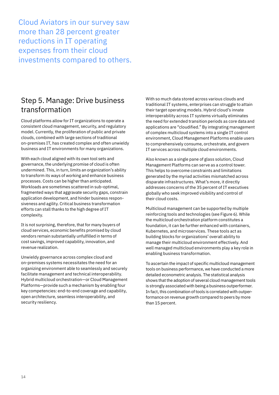Cloud Aviators in our survey saw more than 28 percent greater reductions in IT operating expenses from their cloud investments compared to others.

#### Step 5. Manage: Drive business transformation

Cloud platforms allow for IT organizations to operate a consistent cloud management, security, and regulatory model. Currently, the proliferation of public and private clouds, combined with large sections of traditional on-premises IT, has created complex and often unwieldy business and IT environments for many organizations.

With each cloud aligned with its own tool sets and governance, the underlying promise of cloud is often undermined. This, in turn, limits an organization's ability to transform its ways of working and enhance business processes. Costs can be higher than anticipated. Workloads are sometimes scattered in sub-optimal, fragmented ways that aggravate security gaps, constrain application development, and hinder business responsiveness and agility. Critical business transformation efforts can stall thanks to the high degree of IT complexity.

It is not surprising, therefore, that for many buyers of cloud services, economic benefits promised by cloud vendors remain substantially unfulfilled in terms of cost savings, improved capability, innovation, and revenue realization.

Unwieldy governance across complex cloud and on-premises systems necessitates the need for an organizing environment able to seamlessly and securely facilitate management and technical interoperability. Hybrid multicloud orchestration—or Cloud Management Platforms—provide such a mechanism by enabling four key competencies: end-to-end coverage and capability, open architecture, seamless interoperability, and security resiliency.

With so much data stored across various clouds and traditional IT systems, enterprises can struggle to attain their target operating models. Hybrid cloud's innate interoperability across IT systems virtually eliminates the need for extended transition periods as core data and applications are "cloudified." By integrating management of complex multicloud systems into a single IT control environment, Cloud Management Platforms enable users to comprehensively consume, orchestrate, and govern IT services across multiple cloud environments.

Also known as a single pane of glass solution, Cloud Management Platforms can serve as a control tower. This helps to overcome constraints and limitations generated by the myriad activities mismatched across disparate infrastructures. What's more, it directly addresses concerns of the 35 percent of IT executives globally who seek improved visibility and control of their cloud costs.

Multicloud management can be supported by multiple reinforcing tools and technologies (see Figure 6). While the multicloud orchestration platform constitutes a foundation, it can be further enhanced with containers, Kubernetes, and microservices. These tools act as building blocks for organizations' overall ability to manage their multicloud environment effectively. And well managed multicloud environments play a key role in enabling business transformation.

To ascertain the impact of specific multicloud management tools on business performance, we have conducted a more detailed econometric analysis. The statistical analysis shows that the adoption of several cloud management tools is strongly associated with being a business outperformer. In fact, this combination of tools is correlated with outperformance on revenue growth compared to peers by more than 15 percent.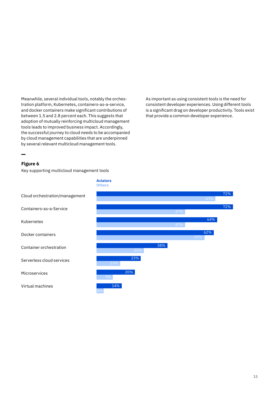Meanwhile, several individual tools, notably the orchestration platform, Kubernetes, containers-as-a-service, and docker containers make significant contributions of between 1.5 and 2.8 percent each. This suggests that adoption of mutually reinforcing multicloud management tools leads to improved business impact. Accordingly, the successful journey to cloud needs to be accompanied by cloud management capabilities that are underpinned by several relevant multicloud management tools.

As important as using consistent tools is the need for consistent developer experiences. Using different tools is a significant drag on developer productivity. Tools exist that provide a common developer experience.

#### **Figure 6**

Key supporting multicloud management tools

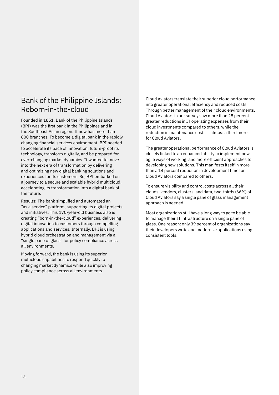#### Bank of the Philippine Islands: Reborn-in-the-cloud

Founded in 1851, Bank of the Philippine Islands (BPI) was the first bank in the Philippines and in the Southeast Asian region. It now has more than 800 branches. To become a digital bank in the rapidly changing financial services environment, BPI needed to accelerate its pace of innovation, future-proof its technology, transform digitally, and be prepared for ever-changing market dynamics. It wanted to move into the next era of transformation by delivering and optimizing new digital banking solutions and experiences for its customers. So, BPI embarked on a journey to a secure and scalable hybrid multicloud, accelerating its transformation into a digital bank of the future.

Results: The bank simplified and automated an "as a service" platform, supporting its digital projects and initiatives. This 170-year-old business also is creating "born-in-the-cloud" experiences, delivering digital innovation to customers through compelling applications and services. Internally, BPI is using hybrid cloud orchestration and management via a "single pane of glass" for policy compliance across all environments.

Moving forward, the bank is using its superior multicloud capabilities to respond quickly to changing market dynamics while also improving policy compliance across all environments.

Cloud Aviators translate their superior cloud performance into greater operational efficiency and reduced costs. Through better management of their cloud environments, Cloud Aviators in our survey saw more than 28 percent greater reductions in IT operating expenses from their cloud investments compared to others, while the reduction in maintenance costs is almost a third more for Cloud Aviators.

The greater operational performance of Cloud Aviators is closely linked to an enhanced ability to implement new agile ways of working, and more efficient approaches to developing new solutions. This manifests itself in more than a 14 percent reduction in development time for Cloud Aviators compared to others.

To ensure visibility and control costs across all their clouds, vendors, clusters, and data, two-thirds (66%) of Cloud Aviators say a single pane of glass management approach is needed.

Most organizations still have a long way to go to be able to manage their IT infrastructure on a single pane of glass. One reason: only 39 percent of organizations say their developers write and modernize applications using consistent tools.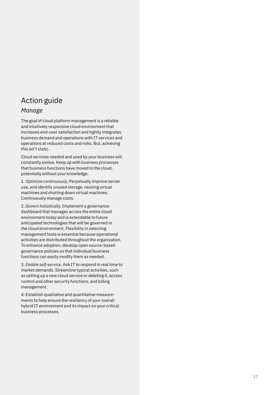# Action guide

#### *Manage*

The goal of cloud platform management is a reliable and intuitively responsive cloud environment that increases end-user satisfaction and tightly integrates business demand and operations with IT services and operations at reduced costs and risks. But, achieving this isn't static.

Cloud services needed and used by your business will constantly evolve. Keep up with business processes that business functions have moved to the cloud, potentially without your knowledge.

1. *Optimize continuously*. Perpetually improve server use, and identify unused storage, resizing virtual machines and shutting down virtual machines. Continuously manage costs.

2. *Govern holistically*. Implement a governance dashboard that manages across the entire cloud environment today and is extendable to future anticipated technologies that will be governed in the cloud environment. Flexibility in selecting management tools is essential because operational activities are distributed throughout the organization. To enhance adoption, develop open source-based governance policies so that individual business functions can easily modify them as needed.

3. *Enable self-service*. Ask IT to respond in real time to market demands. Streamline typical activities, such as setting up a new cloud service or deleting it, access control and other security functions, and billing management.

4. Establish qualitative and quantitative measurements to help ensure the resiliency of your overall hybrid IT environment and its impact on your critical business processes.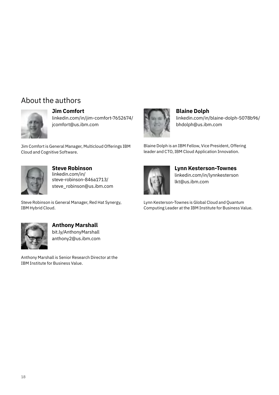# About the authors



#### **Jim Comfort**

[linkedin.com/in/jim-comfort-7652674/](https://www.linkedin.com/in/jim-comfort-7652674/) [jcomfort@us.ibm.com](file:jcomfort%40us.ibm.com)

Jim Comfort is General Manager, Multicloud Offerings IBM Cloud and Cognitive Software.



**Steve Robinson**  [linkedin.com/in/](https://www.linkedin.com/in/steve-robinson-846a1713/ ) [steve-robinson-846a1713/](https://www.linkedin.com/in/steve-robinson-846a1713/ )  [steve\\_robinson@us.ibm.com](mailto:steve_robinson%40us.ibm.com?subject=)

Steve Robinson is General Manager, Red Hat Synergy, IBM Hybrid Cloud.



#### **Blaine Dolph**  [linkedin.com/in/blaine-dolph-5078b96/](https://www.linkedin.com/in/blaine-dolph-5078b96/) [bhdolph@us.ibm.com](file:bhdolph%40us.ibm.com)

Blaine Dolph is an IBM Fellow, Vice President, Offering leader and CTO, IBM Cloud Application Innovation.



**Lynn Kesterson-Townes** [linkedin.com/in/lynnkesterson](http://www.linkedin.com/in/lynnkesterson) [lkt@us.ibm.com](mailto:lkt%40us.ibm.com?subject=)

Lynn Kesterson-Townes is Global Cloud and Quantum Computing Leader at the IBM Institute for Business Value.



**Anthony Marshall** [bit.ly/AnthonyMarshall](https://www.linkedin.com/in/anthonyejmarshall/) [anthony2@us.ibm.com](mailto:anthony2%40us.ibm.com?subject=)

Anthony Marshall is Senior Research Director at the IBM Institute for Business Value.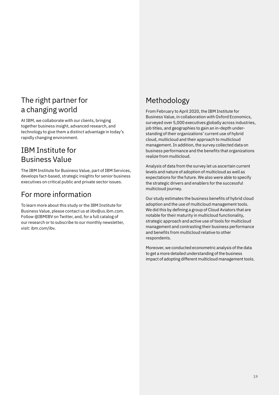# The right partner for a changing world

At IBM, we collaborate with our clients, bringing together business insight, advanced research, and technology to give them a distinct advantage in today's rapidly changing environment.

# IBM Institute for Business Value

The IBM Institute for Business Value, part of IBM Services, develops fact-based, strategic insights for senior business executives on critical public and private sector issues.

# For more information

To learn more about this study or the IBM Institute for Business Value, please contact us at iibv@us.ibm.com. Follow @IBMIBV on Twitter, and, for a full catalog of our research or to subscribe to our monthly newsletter, visit: ibm.com/ibv.

# Methodology

From February to April 2020, the IBM Institute for Business Value, in collaboration with Oxford Economics, surveyed over 5,000 executives globally across industries, job titles, and geographies to gain an in-depth understanding of their organizations' current use of hybrid cloud, multicloud and their approach to multicloud management. In addition, the survey collected data on business performance and the benefits that organizations realize from multicloud.

Analysis of data from the survey let us ascertain current levels and nature of adoption of multicloud as well as expectations for the future. We also were able to specify the strategic drivers and enablers for the successful multicloud journey.

Our study estimates the business benefits of hybrid cloud adoption and the use of multicloud management tools. We did this by defining a group of Cloud Aviators that are notable for their maturity in multicloud functionality, strategic approach and active use of tools for multicloud management and contrasting their business performance and benefits from multicloud relative to other respondents.

Moreover, we conducted econometric analysis of the data to get a more detailed understanding of the business impact of adopting different multicloud management tools.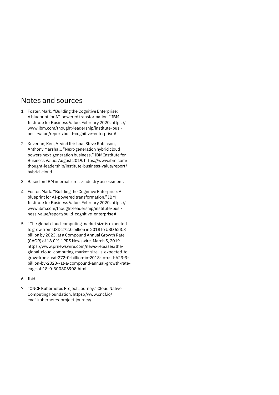#### Notes and sources

- 1 Foster, Mark. "Building the Cognitive Enterprise: A blueprint for AI-powered transformation." IBM Institute for Business Value. February 2020. [https://](https://www.ibm.com/thought-leadership/institute-business-value/report/build-cognitive-enterprise#) [www.ibm.com/thought-leadership/institute-busi](https://www.ibm.com/thought-leadership/institute-business-value/report/build-cognitive-enterprise#)[ness-value/report/build-cognitive-enterprise#](https://www.ibm.com/thought-leadership/institute-business-value/report/build-cognitive-enterprise#)
- 2 Keverian, Ken, Arvind Krishna, Steve Robinson, Anthony Marshall. "Next-generation hybrid cloud powers next-generation business." IBM Institute for Business Value. August 2019. [https://www.ibm.com/](https://www.ibm.com/thought-leadership/institute-business-value/report/hybrid-cloud) [thought-leadership/institute-business-value/report/](https://www.ibm.com/thought-leadership/institute-business-value/report/hybrid-cloud) [hybrid-cloud](https://www.ibm.com/thought-leadership/institute-business-value/report/hybrid-cloud)
- 3 Based on IBM internal, cross-industry assessment.
- 4 Foster, Mark. "Building the Cognitive Enterprise: A blueprint for AI-powered transformation." IBM Institute for Business Value. February 2020. [https://](https://www.ibm.com/thought-leadership/institute-business-value/report/build-cognitive-enterprise#) [www.ibm.com/thought-leadership/institute-busi](https://www.ibm.com/thought-leadership/institute-business-value/report/build-cognitive-enterprise#)[ness-value/report/build-cognitive-enterprise#](https://www.ibm.com/thought-leadership/institute-business-value/report/build-cognitive-enterprise#)
- 5 "The global cloud computing market size is expected to grow from USD 272.0 billion in 2018 to USD 623.3 billion by 2023, at a Compound Annual Growth Rate (CAGR) of 18.0%." PRS Newswire. March 5, 2019. [https://www.prnewswire.com/news-releases/the](https://www.prnewswire.com/news-releases/the-global-cloud-computing-market-size-is-expected-to-grow-from-usd-272-0-billion-in-2018-to-usd-623-3-billion-by-2023--at-a-compound-annual-growth-rate-cagr-of-18-0-300806908.html)[global-cloud-computing-market-size-is-expected-to](https://www.prnewswire.com/news-releases/the-global-cloud-computing-market-size-is-expected-to-grow-from-usd-272-0-billion-in-2018-to-usd-623-3-billion-by-2023--at-a-compound-annual-growth-rate-cagr-of-18-0-300806908.html)[grow-from-usd-272-0-billion-in-2018-to-usd-623-3](https://www.prnewswire.com/news-releases/the-global-cloud-computing-market-size-is-expected-to-grow-from-usd-272-0-billion-in-2018-to-usd-623-3-billion-by-2023--at-a-compound-annual-growth-rate-cagr-of-18-0-300806908.html) [billion-by-2023--at-a-compound-annual-growth-rate](https://www.prnewswire.com/news-releases/the-global-cloud-computing-market-size-is-expected-to-grow-from-usd-272-0-billion-in-2018-to-usd-623-3-billion-by-2023--at-a-compound-annual-growth-rate-cagr-of-18-0-300806908.html)[cagr-of-18-0-300806908.html](https://www.prnewswire.com/news-releases/the-global-cloud-computing-market-size-is-expected-to-grow-from-usd-272-0-billion-in-2018-to-usd-623-3-billion-by-2023--at-a-compound-annual-growth-rate-cagr-of-18-0-300806908.html)
- 6 Ibid.
- 7 "CNCF Kubernetes Project Journey." Cloud Native Computing Foundation. [https://www.cncf.io/](https://www.cncf.io/cncf-kubernetes-project-journey/) [cncf-kubernetes-project-journey/](https://www.cncf.io/cncf-kubernetes-project-journey/)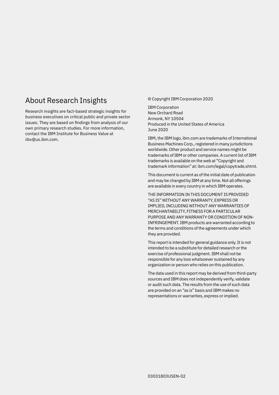### About Research Insights

Research insights are fact-based strategic insights for business executives on critical public and private sector issues. They are based on findings from analysis of our own primary research studies. For more information, contact the IBM Institute for Business Value at iibv@us.ibm.com.

#### © Copyright IBM Corporation 2020

IBM Corporation New Orchard Road Armonk, NY 10504 Produced in the United States of America June 2020

IBM, the IBM logo, [ibm.com](http://www.ibm.com) are trademarks of International Business Machines Corp., registered in many jurisdictions worldwide. Other product and service names might be trademarks of IBM or other companies. A current list of IBM trademarks is available on the web at "Copyright and trademark information" at: ibm.com/legal/copytrade.shtml.

This document is current as of the initial date of publication and may be changed by IBM at any time. Not all offerings are available in every country in which IBM operates.

THE INFORMATION IN THIS DOCUMENT IS PROVIDED "AS IS" WITHOUT ANY WARRANTY, EXPRESS OR IMPLIED, INCLUDING WITHOUT ANY WARRANTIES OF MERCHANTABILITY, FITNESS FOR A PARTICULAR PURPOSE AND ANY WARRANTY OR CONDITION OF NON-INFRINGEMENT. IBM products are warranted according to the terms and conditions of the agreements under which they are provided.

This report is intended for general guidance only. It is not intended to be a substitute for detailed research or the exercise of professional judgment. IBM shall not be responsible for any loss whatsoever sustained by any organization or person who relies on this publication.

The data used in this report may be derived from third-party sources and IBM does not independently verify, validate or audit such data. The results from the use of such data are provided on an "as is" basis and IBM makes no representations or warranties, express or implied.